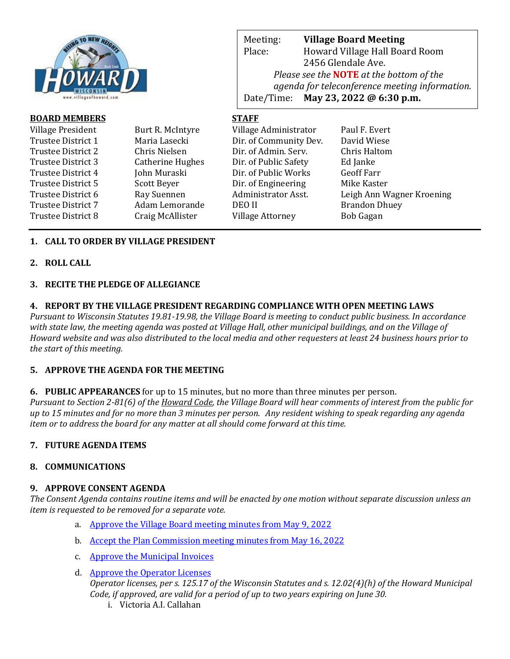

| <b>BOARD MEMBERS</b> |                  | <b>STAFF</b>            |                           |
|----------------------|------------------|-------------------------|---------------------------|
| Village President    | Burt R. McIntyre | Village Administrator   | Paul F. Evert             |
| Trustee District 1   | Maria Lasecki    | Dir. of Community Dev.  | David Wiese               |
| Trustee District 2   | Chris Nielsen    | Dir. of Admin. Serv.    | Chris Haltom              |
| Trustee District 3   | Catherine Hughes | Dir. of Public Safety   | Ed Janke                  |
| Trustee District 4   | John Muraski     | Dir. of Public Works    | <b>Geoff Farr</b>         |
| Trustee District 5   | Scott Beyer      | Dir. of Engineering     | Mike Kaster               |
| Trustee District 6   | Ray Suennen      | Administrator Asst.     | Leigh Ann Wagner Kroening |
| Trustee District 7   | Adam Lemorande   | <b>DEO II</b>           | <b>Brandon Dhuey</b>      |
| Trustee District 8   | Craig McAllister | <b>Village Attorney</b> | <b>Bob Gagan</b>          |
|                      |                  |                         |                           |

Meeting: **Village Board Meeting**

Date/Time: **May 23, 2022 @ 6:30 p.m.**

Place: Howard Village Hall Board Room 2456 Glendale Ave.

*Please see the* **NOTE** *at the bottom of the* 

*agenda for teleconference meeting information.* 

## **1. CALL TO ORDER BY VILLAGE PRESIDENT**

#### **2. ROLL CALL**

#### **3. RECITE THE PLEDGE OF ALLEGIANCE**

#### **4. REPORT BY THE VILLAGE PRESIDENT REGARDING COMPLIANCE WITH OPEN MEETING LAWS**

*Pursuant to Wisconsin Statutes 19.81-19.98, the Village Board is meeting to conduct public business. In accordance with state law, the meeting agenda was posted at Village Hall, other municipal buildings, and on the Village of Howard website and was also distributed to the local media and other requesters at least 24 business hours prior to the start of this meeting.* 

### **5. APPROVE THE AGENDA FOR THE MEETING**

### **6. PUBLIC APPEARANCES** for up to 15 minutes, but no more than three minutes per person.

*Pursuant to Section 2-81(6) of the Howard Code, the Village Board will hear comments of interest from the public for up to 15 minutes and for no more than 3 minutes per person. Any resident wishing to speak regarding any agenda item or to address the board for any matter at all should come forward at this time.* 

### **7. FUTURE AGENDA ITEMS**

### **8. COMMUNICATIONS**

### **9. APPROVE CONSENT AGENDA**

*The Consent Agenda contains routine items and will be enacted by one motion without separate discussion unless an item is requested to be removed for a separate vote.*

- a. [Approve the Village Board meeting minutes from May 9, 2022](https://www.villageofhoward.com/DocumentCenter/View/8366/9a-VB-Minutes-05-09-22)
- b. [Accept the Plan Commission meeting minutes from May 16, 2022](https://www.villageofhoward.com/DocumentCenter/View/8367/9b-PC-minutes-05-16-22)
- c. [Approve the Municipal Invoices](https://www.villageofhoward.com/DocumentCenter/View/8368/9c-Municipal-Invoices)
- d. [Approve the Operator Licenses](https://www.villageofhoward.com/DocumentCenter/View/8369/9d-Operator-licenses) *Operator licenses, per s. 125.17 of the Wisconsin Statutes and s. 12.02(4)(h) of the Howard Municipal Code, if approved, are valid for a period of up to two years expiring on June 30.*
	- i. Victoria A.I. Callahan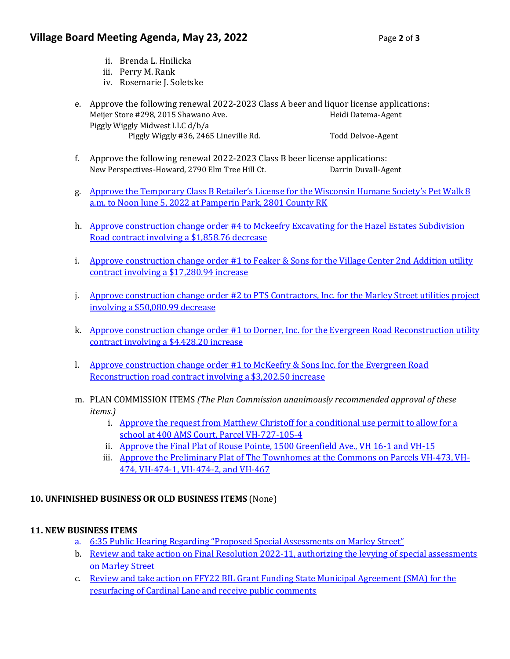# **Village Board Meeting Agenda, May 23, 2022** Page 2 of 3

- ii. Brenda L. Hnilicka
- iii. Perry M. Rank
- iv. Rosemarie J. Soletske
- e. Approve the following renewal 2022-2023 Class A beer and liquor license applications: Meijer Store #298, 2015 Shawano Ave. https://www.mateural.com/Heidi Datema-Agent Piggly Wiggly Midwest LLC d/b/a Piggly Wiggly #36, 2465 Lineville Rd. Todd Delvoe-Agent
- f. Approve the following renewal 2022-2023 Class B beer license applications: New Perspectives-Howard, 2790 Elm Tree Hill Ct. Darrin Duvall-Agent
- g. [Approve the Temporary Class B Retailer's License](https://www.villageofhoward.com/DocumentCenter/View/8370/9g-WHS-Pet-Walk-Retailer-License) for the Wisconsin Humane Society's Pet Walk 8 [a.m. to Noon June 5, 2022 at Pamperin Park, 2801 County RK](https://www.villageofhoward.com/DocumentCenter/View/8370/9g-WHS-Pet-Walk-Retailer-License)
- h. [Approve construction change order #4 to Mckeefry](https://www.villageofhoward.com/DocumentCenter/View/8371/9h-CO-4-Hazel-Estates-roadway-contract) Excavating for the Hazel Estates Subdivision [Road contract involving a \\$1,858.76 decrease](https://www.villageofhoward.com/DocumentCenter/View/8371/9h-CO-4-Hazel-Estates-roadway-contract)
- i. Approve construction change order #1 to Feaker & Sons for the Village Center 2nd Addition utility [contract involving a \\$17,280.94 increase](https://www.villageofhoward.com/DocumentCenter/View/8372/9i-CO-1-Village-Center-2nd-Addition-utility-contract)
- j. [Approve construction change order #2 to PTS Contractors, Inc. for the Marley Street utilities project](https://www.villageofhoward.com/DocumentCenter/View/8373/9j-CO-2-Marley-Street-utilities-project)  [involving a \\$50,080.99 decrease](https://www.villageofhoward.com/DocumentCenter/View/8373/9j-CO-2-Marley-Street-utilities-project)
- k. Approve construction change order #1 to Dorner, Inc. for the Evergreen Road Reconstruction utility [contract involving a \\$4,428.20 increase](https://www.villageofhoward.com/DocumentCenter/View/8374/9k-CO-1-Evergreen-Road-utility-contract)
- l. [Approve construction change order #1 to McKeefry & Sons Inc. for the Evergreen Road](https://www.villageofhoward.com/DocumentCenter/View/8375/9l-CO-1-Evergreen-Road-roadway-contract)  [Reconstruction road contract involving a \\$3,202.50 increase](https://www.villageofhoward.com/DocumentCenter/View/8375/9l-CO-1-Evergreen-Road-roadway-contract)
- m. PLAN COMMISSION ITEMS *(The Plan Commission unanimously recommended approval of these items.)*
	- i. [Approve the request from Matthew Christoff for a conditional use permit](https://www.villageofhoward.com/DocumentCenter/View/8376/9m-i-New-Leaf-School-CUP) to allow for a [school at 400 AMS Court, Parcel VH-727-105-4](https://www.villageofhoward.com/DocumentCenter/View/8376/9m-i-New-Leaf-School-CUP)
	- ii. [Approve the Final Plat of Rouse Pointe, 1500 Greenfield Ave., VH 16-1 and VH-15](https://www.villageofhoward.com/DocumentCenter/View/8377/9m-ii-Final-Plat-of-Rouse-Pointe)
	- iii. Approve the [Preliminary Plat of The Townhomes at the Commons on Parcels VH-473, VH-](https://www.villageofhoward.com/DocumentCenter/View/8378/9m-iii-Preliminary-Plat-of-Townhomes-at-the-Commons)[474, VH-474-1, VH-474-2, and VH-467](https://www.villageofhoward.com/DocumentCenter/View/8378/9m-iii-Preliminary-Plat-of-Townhomes-at-the-Commons)

# **10. UNFINISHED BUSINESS OR OLD BUSINESS ITEMS** (None)

# **11. NEW BUSINESS ITEMS**

- a. [6:35 Public Hearing Regarding "Proposed Special Assessments on Marley Street"](https://www.villageofhoward.com/DocumentCenter/View/8379/11a-b-Marley-Street-special-assessments)
- b. [Review and take action on Final Resolution 2022-11,](https://www.villageofhoward.com/DocumentCenter/View/8379/11a-b-Marley-Street-special-assessments) authorizing the levying of special assessments [on Marley Street](https://www.villageofhoward.com/DocumentCenter/View/8379/11a-b-Marley-Street-special-assessments)
- c. [Review and take action on FFY22 BIL Grant Funding State Municipal Agreement \(SMA\) for the](https://www.villageofhoward.com/DocumentCenter/View/8380/11c-BIL-Grant-Award)  [resurfacing of Cardinal Lane and receive public comments](https://www.villageofhoward.com/DocumentCenter/View/8380/11c-BIL-Grant-Award)